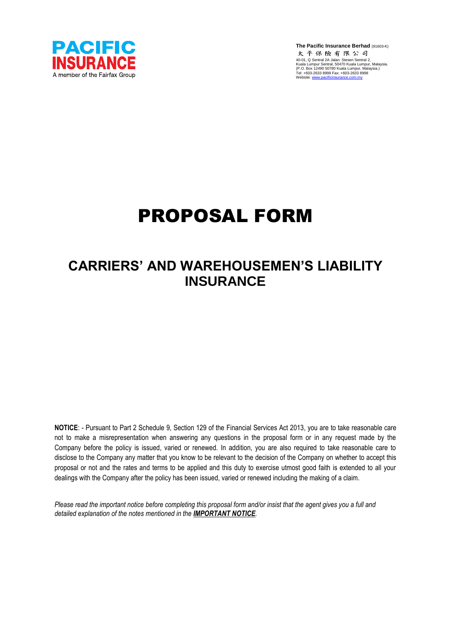

**The Pacific Insurance Berhad** (91603-K)<br>太平保險有限公司 40-01, Q Sentral 2A Jalan Stesen Sentral 2, Kuala Lumpur Sentral, 50470 Kuala Lumpur, Malaysia. (P.O. Box 12490 50780 Kuala Lumpur, Malaysia.) Tel: +603-2633 8999 Fax: +603-2633 8998 Website: www.pacificinsurance.com.

## PROPOSAL FORM

## **CARRIERS' AND WAREHOUSEMEN'S LIABILITY INSURANCE**

**NOTICE**: - Pursuant to Part 2 Schedule 9, Section 129 of the Financial Services Act 2013, you are to take reasonable care not to make a misrepresentation when answering any questions in the proposal form or in any request made by the Company before the policy is issued, varied or renewed. In addition, you are also required to take reasonable care to disclose to the Company any matter that you know to be relevant to the decision of the Company on whether to accept this proposal or not and the rates and terms to be applied and this duty to exercise utmost good faith is extended to all your dealings with the Company after the policy has been issued, varied or renewed including the making of a claim.

*Please read the important notice before completing this proposal form and/or insist that the agent gives you a full and detailed explanation of the notes mentioned in the IMPORTANT NOTICE.*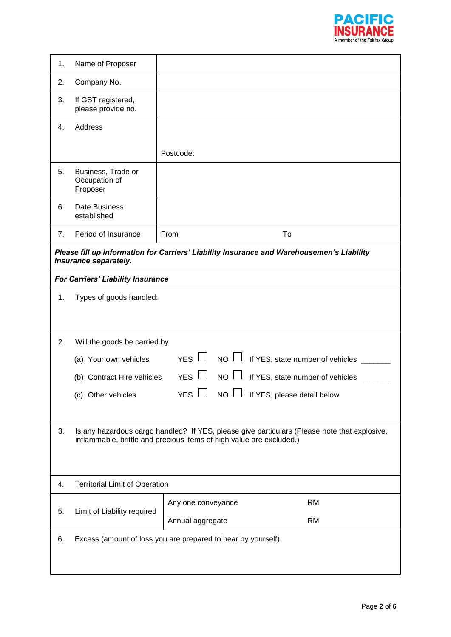

| 1. | Name of Proposer                                                                                                                                                     |                                                                                           |  |  |  |  |
|----|----------------------------------------------------------------------------------------------------------------------------------------------------------------------|-------------------------------------------------------------------------------------------|--|--|--|--|
| 2. | Company No.                                                                                                                                                          |                                                                                           |  |  |  |  |
| 3. | If GST registered,<br>please provide no.                                                                                                                             |                                                                                           |  |  |  |  |
| 4. | Address                                                                                                                                                              |                                                                                           |  |  |  |  |
|    |                                                                                                                                                                      | Postcode:                                                                                 |  |  |  |  |
| 5. | Business, Trade or<br>Occupation of<br>Proposer                                                                                                                      |                                                                                           |  |  |  |  |
| 6. | Date Business<br>established                                                                                                                                         |                                                                                           |  |  |  |  |
| 7. | Period of Insurance                                                                                                                                                  | From<br>To                                                                                |  |  |  |  |
|    | Insurance separately.                                                                                                                                                | Please fill up information for Carriers' Liability Insurance and Warehousemen's Liability |  |  |  |  |
|    | For Carriers' Liability Insurance                                                                                                                                    |                                                                                           |  |  |  |  |
| 1. | Types of goods handled:                                                                                                                                              |                                                                                           |  |  |  |  |
|    |                                                                                                                                                                      |                                                                                           |  |  |  |  |
|    |                                                                                                                                                                      |                                                                                           |  |  |  |  |
| 2. | Will the goods be carried by                                                                                                                                         |                                                                                           |  |  |  |  |
|    | (a) Your own vehicles                                                                                                                                                | YES $\Box$<br>$NO \Box$<br>If YES, state number of vehicles _____                         |  |  |  |  |
|    | (b) Contract Hire vehicles                                                                                                                                           | YES $\Box$<br>$NO \Box$<br>If YES, state number of vehicles                               |  |  |  |  |
|    | (c) Other vehicles                                                                                                                                                   | $YES$ $\Box$ NO $\Box$ If YES, please detail below                                        |  |  |  |  |
|    |                                                                                                                                                                      |                                                                                           |  |  |  |  |
| 3. | Is any hazardous cargo handled? If YES, please give particulars (Please note that explosive,<br>inflammable, brittle and precious items of high value are excluded.) |                                                                                           |  |  |  |  |
|    |                                                                                                                                                                      |                                                                                           |  |  |  |  |
| 4. | <b>Territorial Limit of Operation</b>                                                                                                                                |                                                                                           |  |  |  |  |
| 5. | Limit of Liability required                                                                                                                                          | <b>RM</b><br>Any one conveyance                                                           |  |  |  |  |
|    |                                                                                                                                                                      | <b>RM</b><br>Annual aggregate                                                             |  |  |  |  |
| 6. |                                                                                                                                                                      | Excess (amount of loss you are prepared to bear by yourself)                              |  |  |  |  |
|    |                                                                                                                                                                      |                                                                                           |  |  |  |  |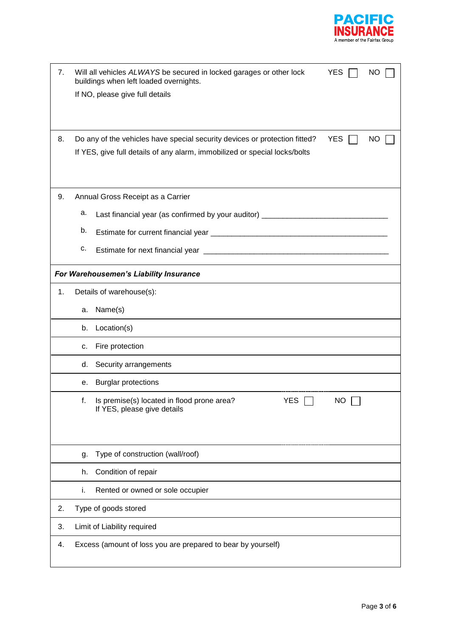

| 7. | Will all vehicles ALWAYS be secured in locked garages or other lock<br>buildings when left loaded overnights. | <b>YES</b> | NO |
|----|---------------------------------------------------------------------------------------------------------------|------------|----|
|    | If NO, please give full details                                                                               |            |    |
|    |                                                                                                               |            |    |
|    |                                                                                                               |            |    |
| 8. | Do any of the vehicles have special security devices or protection fitted?                                    | <b>YES</b> | NO |
|    | If YES, give full details of any alarm, immobilized or special locks/bolts                                    |            |    |
|    |                                                                                                               |            |    |
|    |                                                                                                               |            |    |
| 9. | Annual Gross Receipt as a Carrier                                                                             |            |    |
|    | а.<br>Last financial year (as confirmed by your auditor) _____________________________                        |            |    |
|    | b.                                                                                                            |            |    |
|    | c.                                                                                                            |            |    |
|    | For Warehousemen's Liability Insurance                                                                        |            |    |
| 1. | Details of warehouse(s):                                                                                      |            |    |
|    | Name(s)<br>a.                                                                                                 |            |    |
|    | Location(s)<br>b.                                                                                             |            |    |
|    | Fire protection<br>c.                                                                                         |            |    |
|    | Security arrangements<br>d.                                                                                   |            |    |
|    | <b>Burglar protections</b><br>е.                                                                              |            |    |
|    | YES $\Box$<br>Is premise(s) located in flood prone area?<br>t.<br>If YES, please give details                 | <b>NO</b>  |    |
|    |                                                                                                               |            |    |
|    |                                                                                                               |            |    |
|    | Type of construction (wall/roof)<br>g.                                                                        |            |    |
|    | Condition of repair<br>h.                                                                                     |            |    |
|    | Rented or owned or sole occupier<br>i.                                                                        |            |    |
| 2. | Type of goods stored                                                                                          |            |    |
| 3. | Limit of Liability required                                                                                   |            |    |
| 4. | Excess (amount of loss you are prepared to bear by yourself)                                                  |            |    |
|    |                                                                                                               |            |    |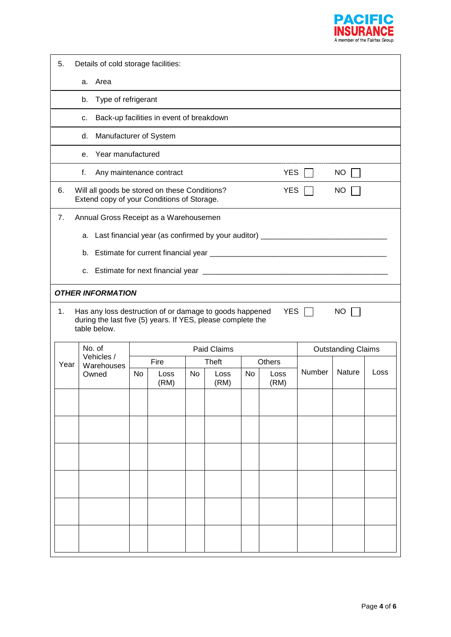

| 5.                                                                                                                                                                      | Details of cold storage facilities:                                                                                        |    |              |    |              |    |              |        |                           |                          |  |  |  |  |  |  |  |
|-------------------------------------------------------------------------------------------------------------------------------------------------------------------------|----------------------------------------------------------------------------------------------------------------------------|----|--------------|----|--------------|----|--------------|--------|---------------------------|--------------------------|--|--|--|--|--|--|--|
|                                                                                                                                                                         | Area<br>a.                                                                                                                 |    |              |    |              |    |              |        |                           |                          |  |  |  |  |  |  |  |
|                                                                                                                                                                         | Type of refrigerant<br>b.                                                                                                  |    |              |    |              |    |              |        |                           |                          |  |  |  |  |  |  |  |
|                                                                                                                                                                         | Back-up facilities in event of breakdown<br>c.                                                                             |    |              |    |              |    |              |        |                           |                          |  |  |  |  |  |  |  |
|                                                                                                                                                                         | Manufacturer of System<br>d.                                                                                               |    |              |    |              |    |              |        |                           |                          |  |  |  |  |  |  |  |
|                                                                                                                                                                         | Year manufactured<br>e.                                                                                                    |    |              |    |              |    |              |        |                           |                          |  |  |  |  |  |  |  |
|                                                                                                                                                                         | f.<br>Any maintenance contract                                                                                             |    |              |    |              |    | <b>YES</b>   |        | NO                        |                          |  |  |  |  |  |  |  |
| 6.                                                                                                                                                                      | Will all goods be stored on these Conditions?<br>Extend copy of your Conditions of Storage.                                |    |              |    |              |    | <b>YES</b>   |        | NO                        |                          |  |  |  |  |  |  |  |
| 7.                                                                                                                                                                      | Annual Gross Receipt as a Warehousemen<br>a. Last financial year (as confirmed by your auditor) __________________________ |    |              |    |              |    |              |        |                           |                          |  |  |  |  |  |  |  |
|                                                                                                                                                                         |                                                                                                                            |    |              |    |              |    |              |        |                           | <b>OTHER INFORMATION</b> |  |  |  |  |  |  |  |
| <b>YES</b><br>Has any loss destruction of or damage to goods happened<br><b>NO</b><br>1.<br>during the last five (5) years. If YES, please complete the<br>table below. |                                                                                                                            |    |              |    |              |    |              |        |                           |                          |  |  |  |  |  |  |  |
|                                                                                                                                                                         |                                                                                                                            |    |              |    |              |    |              |        |                           |                          |  |  |  |  |  |  |  |
|                                                                                                                                                                         | No. of                                                                                                                     |    |              |    | Paid Claims  |    |              |        | <b>Outstanding Claims</b> |                          |  |  |  |  |  |  |  |
| Year                                                                                                                                                                    | Vehicles /<br>Warehouses                                                                                                   |    | Fire         |    | <b>Theft</b> |    | Others       |        |                           |                          |  |  |  |  |  |  |  |
|                                                                                                                                                                         | Owned                                                                                                                      | No | Loss<br>(RM) | No | Loss<br>(RM) | No | Loss<br>(RM) | Number | Nature                    | Loss                     |  |  |  |  |  |  |  |
|                                                                                                                                                                         |                                                                                                                            |    |              |    |              |    |              |        |                           |                          |  |  |  |  |  |  |  |
|                                                                                                                                                                         |                                                                                                                            |    |              |    |              |    |              |        |                           |                          |  |  |  |  |  |  |  |
|                                                                                                                                                                         |                                                                                                                            |    |              |    |              |    |              |        |                           |                          |  |  |  |  |  |  |  |
|                                                                                                                                                                         |                                                                                                                            |    |              |    |              |    |              |        |                           |                          |  |  |  |  |  |  |  |
|                                                                                                                                                                         |                                                                                                                            |    |              |    |              |    |              |        |                           |                          |  |  |  |  |  |  |  |
|                                                                                                                                                                         |                                                                                                                            |    |              |    |              |    |              |        |                           |                          |  |  |  |  |  |  |  |
|                                                                                                                                                                         |                                                                                                                            |    |              |    |              |    |              |        |                           |                          |  |  |  |  |  |  |  |
|                                                                                                                                                                         |                                                                                                                            |    |              |    |              |    |              |        |                           |                          |  |  |  |  |  |  |  |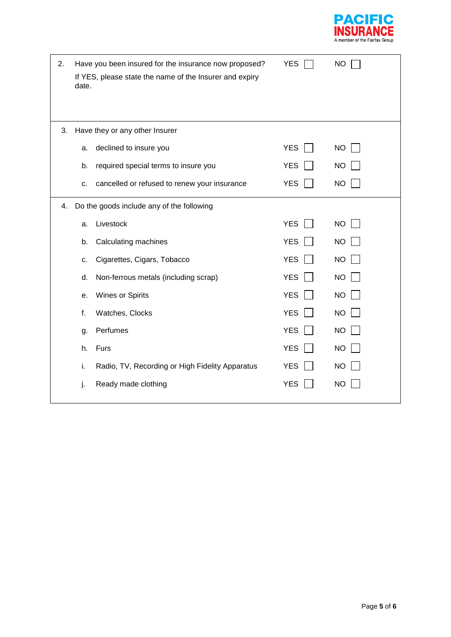

| 2. | date. | Have you been insured for the insurance now proposed?<br>If YES, please state the name of the Insurer and expiry | <b>YES</b> | <b>NO</b> |
|----|-------|------------------------------------------------------------------------------------------------------------------|------------|-----------|
| 3. |       | Have they or any other Insurer                                                                                   |            |           |
|    | a.    | declined to insure you                                                                                           | <b>YES</b> | <b>NO</b> |
|    | b.    | required special terms to insure you                                                                             | <b>YES</b> | <b>NO</b> |
|    | c.    | cancelled or refused to renew your insurance                                                                     | <b>YES</b> | <b>NO</b> |
| 4. |       | Do the goods include any of the following                                                                        |            |           |
|    | a.    | Livestock                                                                                                        | <b>YES</b> | <b>NO</b> |
|    | b.    | Calculating machines                                                                                             | <b>YES</b> | <b>NO</b> |
|    | c.    | Cigarettes, Cigars, Tobacco                                                                                      | <b>YES</b> | <b>NO</b> |
|    | d.    | Non-ferrous metals (including scrap)                                                                             | <b>YES</b> | <b>NO</b> |
|    | е.    | Wines or Spirits                                                                                                 | <b>YES</b> | <b>NO</b> |
|    | f.    | Watches, Clocks                                                                                                  | <b>YES</b> | <b>NO</b> |
|    | g.    | Perfumes                                                                                                         | <b>YES</b> | <b>NO</b> |
|    | h.    | Furs                                                                                                             | <b>YES</b> | <b>NO</b> |
|    | i.    | Radio, TV, Recording or High Fidelity Apparatus                                                                  | <b>YES</b> | <b>NO</b> |
|    | j.    | Ready made clothing                                                                                              | <b>YES</b> | <b>NO</b> |